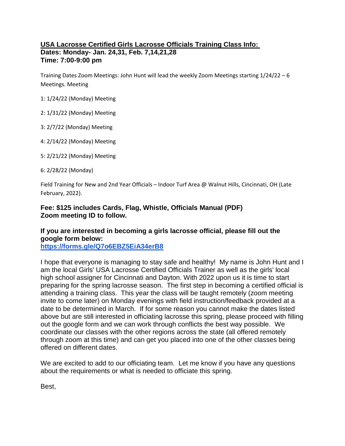## **USA Lacrosse Certified Girls Lacrosse Officials Training Class Info: Dates: Monday- Jan. 24,31, Feb. 7,14,21,28 Time: 7:00-9:00 pm**

Training Dates Zoom Meetings: John Hunt will lead the weekly Zoom Meetings starting 1/24/22 – 6 Meetings. Meeting

1: 1/24/22 (Monday) Meeting

2: 1/31/22 (Monday) Meeting

3: 2/7/22 (Monday) Meeting

4: 2/14/22 (Monday) Meeting

5: 2/21/22 (Monday) Meeting

6: 2/28/22 (Monday)

Field Training for New and 2nd Year Officials – Indoor Turf Area @ Walnut Hills, Cincinnati, OH (Late February, 2022).

## **Fee: \$125 includes Cards, Flag, Whistle, Officials Manual (PDF) Zoom meeting ID to follow.**

## **If you are interested in becoming a girls lacrosse official, please fill out the google form below:**

**<https://forms.gle/Q7o6EBZ5EiA34erB8>**

I hope that everyone is managing to stay safe and healthy! My name is John Hunt and I am the local Girls' USA Lacrosse Certified Officials Trainer as well as the girls' local high school assigner for Cincinnati and Dayton. With 2022 upon us it is time to start preparing for the spring lacrosse season. The first step in becoming a certified official is attending a training class. This year the class will be taught remotely (zoom meeting invite to come later) on Monday evenings with field instruction/feedback provided at a date to be determined in March. If for some reason you cannot make the dates listed above but are still interested in officiating lacrosse this spring, please proceed with filling out the google form and we can work through conflicts the best way possible. We coordinate our classes with the other regions across the state (all offered remotely through zoom at this time) and can get you placed into one of the other classes being offered on different dates.

We are excited to add to our officiating team. Let me know if you have any questions about the requirements or what is needed to officiate this spring.

Best,